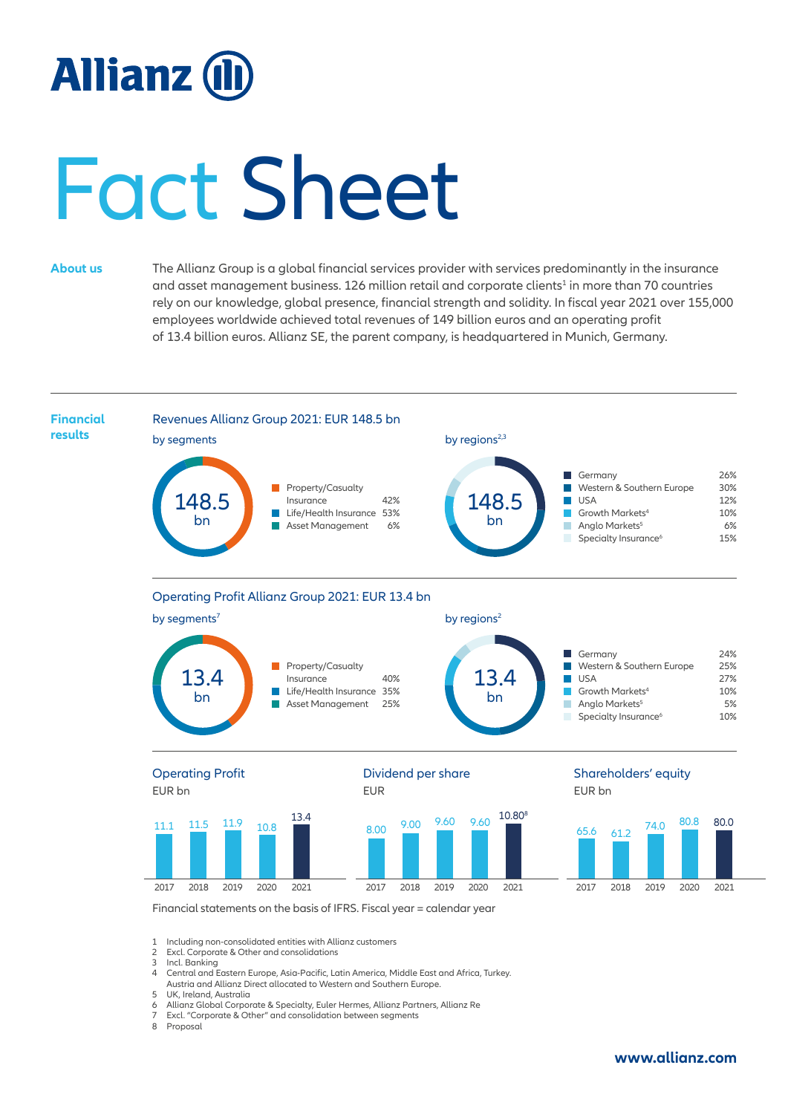## **Allianz (II**

# Fact Sheet

**About us** The Allianz Group is a global financial services provider with services predominantly in the insurance and asset management business. 126 million retail and corporate clients<sup>1</sup> in more than 70 countries rely on our knowledge, global presence, financial strength and solidity. In fiscal year 2021 over 155,000 employees worldwide achieved total revenues of 149 billion euros and an operating profit of 13.4 billion euros. Allianz SE, the parent company, is headquartered in Munich, Germany.



3 Incl. Banking<br>4 Central and I 4 Central and Eastern Europe, Asia-Pacific, Latin America, Middle East and Africa, Turkey.

Austria and Allianz Direct allocated to Western and Southern Europe. 5 UK, Ireland, Australia<br>6 Allianz Global Corpor

6 Allianz Global Corporate & Specialty, Euler Hermes, Allianz Partners, Allianz Re

7 Excl. "Corporate & Other" and consolidation between segments

8 Proposal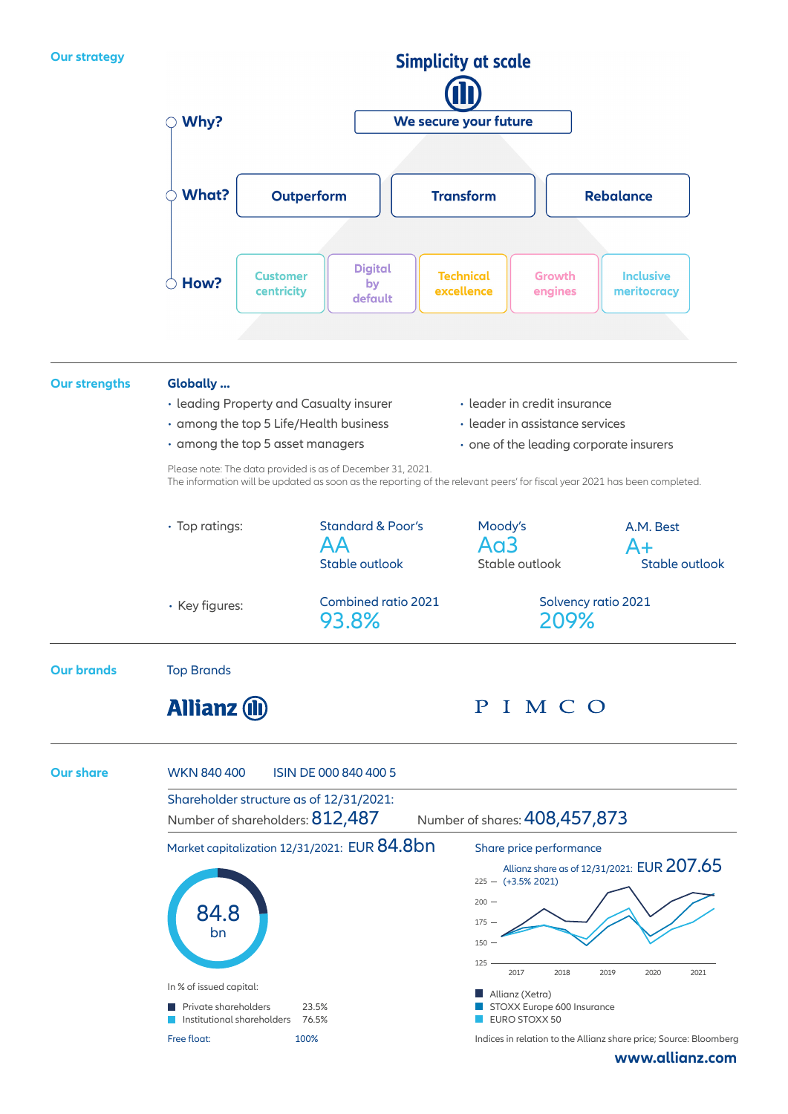

**[www.allianz.com](https://www.allianz.com/en.html)**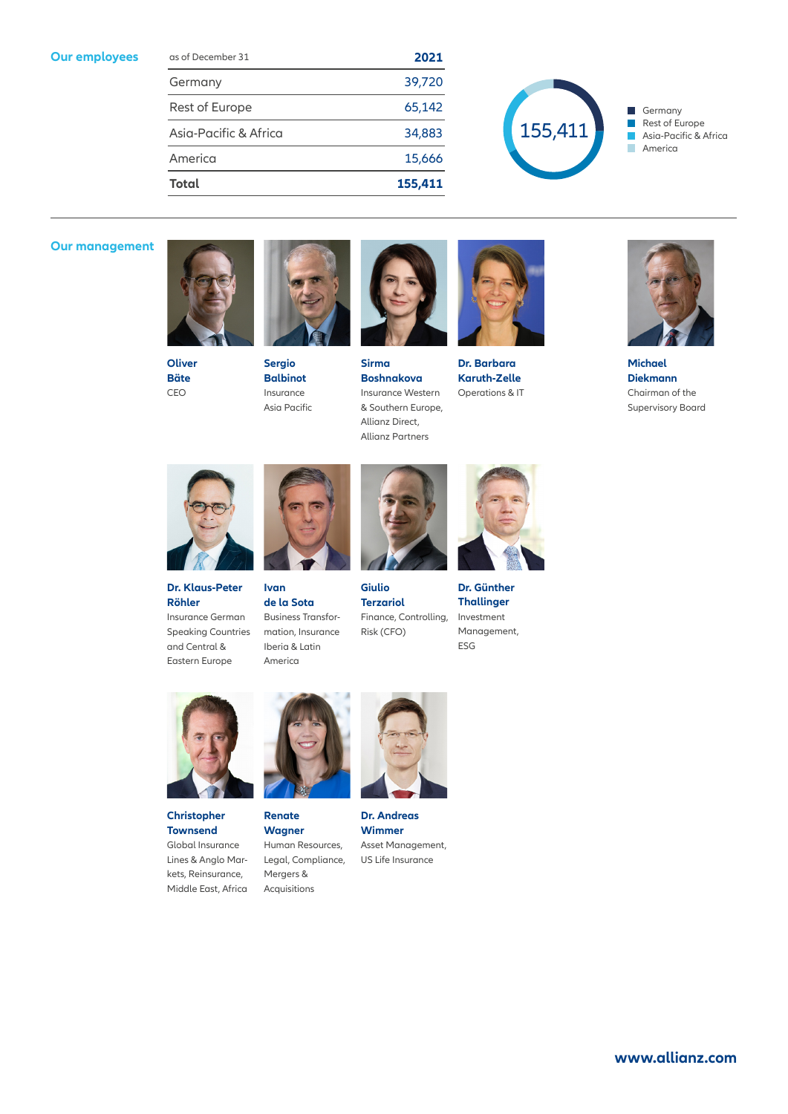#### **Our employees**

| as of December 31     | 2021    |
|-----------------------|---------|
| Germany               | 39,720  |
| Rest of Europe        | 65,142  |
| Asia-Pacific & Africa | 34,883  |
| America               | 15,666  |
| <b>Total</b>          | 155,411 |



Germany  $\overline{\phantom{a}}$  $\overline{\phantom{a}}$ Rest of Europe Asia-Pacific & Africa  $\Box$ T. America

### **Our management**





**Sergio Balbinot**  Insurance Asia Pacific



**Sirma Boshnakova** Insurance Western & Southern Europe, Allianz Direct, Allianz Partners



**Dr. Barbara Karuth-Zelle** Operations & IT



**Michael Diekmann** Chairman of the Supervisory Board



**Dr. Klaus-Peter Röhler** Insurance German Speaking Countries and Central &



**Ivan de la Sota**  Business Transformation, Insurance Iberia & Latin America



**Terzariol** Finance, Controlling, Risk (CFO)



**Dr. Günther Thallinger** Investment Management, ESG



Eastern Europe







**Christopher Townsend** Global Insurance Lines & Anglo Markets, Reinsurance, Middle East, Africa



**Wagner** Human Resources, Legal, Compliance, Mergers & Acquisitions



**Dr. Andreas Wimmer** Asset Management, US Life Insurance